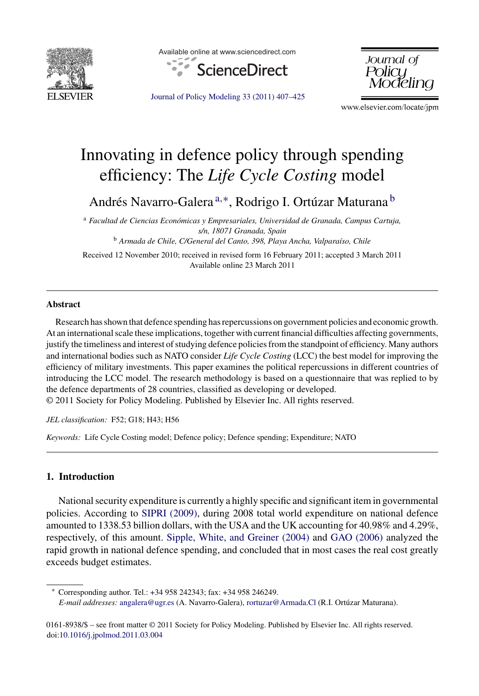

Available online at www.sciencedirect.com



[Journal of Policy Modeling 33 \(2011\) 407–425](dx.doi.org/10.1016/j.jpolmod.2011.03.004)

Journal of Policu

www.elsevier.com/locate/jpm

## Innovating in defence policy through spending efficiency: The *Life Cycle Costing* model

Andrés Navarro-Galera <sup>a</sup>*,*∗, Rodrigo I. Ortúzar Maturana <sup>b</sup>

<sup>a</sup> *Facultad de Ciencias Económicas y Empresariales, Universidad de Granada, Campus Cartuja, s/n, 18071 Granada, Spain*

<sup>b</sup> *Armada de Chile, C/General del Canto, 398, Playa Ancha, Valparaíso, Chile*

Received 12 November 2010; received in revised form 16 February 2011; accepted 3 March 2011 Available online 23 March 2011

## **Abstract**

Research has shown that defence spending has repercussions on government policies and economic growth. At an international scale these implications, together with current financial difficulties affecting governments, justify the timeliness and interest of studying defence policies from the standpoint of efficiency. Many authors and international bodies such as NATO consider *Life Cycle Costing* (LCC) the best model for improving the efficiency of military investments. This paper examines the political repercussions in different countries of introducing the LCC model. The research methodology is based on a questionnaire that was replied to by the defence departments of 28 countries, classified as developing or developed.

© 2011 Society for Policy Modeling. Published by Elsevier Inc. All rights reserved.

*JEL classification:* F52; G18; H43; H56

*Keywords:* Life Cycle Costing model; Defence policy; Defence spending; Expenditure; NATO

## **1. Introduction**

National security expenditure is currently a highly specific and significant item in governmental policies. According to [SIPRI \(2009\),](#page--1-0) during 2008 total world expenditure on national defence amounted to 1338.53 billion dollars, with the USA and the UK accounting for 40.98% and 4.29%, respectively, of this amount. [Sipple, White, and Greiner \(2004\)](#page--1-0) and [GAO \(2006\)](#page--1-0) analyzed the rapid growth in national defence spending, and concluded that in most cases the real cost greatly exceeds budget estimates.

∗ Corresponding author. Tel.: +34 958 242343; fax: +34 958 246249. *E-mail addresses:* [angalera@ugr.es](mailto:angalera@ugr.es) (A. Navarro-Galera), [rortuzar@Armada.Cl](mailto:rortuzar@Armada.Cl) (R.I. Ortúzar Maturana).

0161-8938/\$ – see front matter © 2011 Society for Policy Modeling. Published by Elsevier Inc. All rights reserved. doi[:10.1016/j.jpolmod.2011.03.004](dx.doi.org/10.1016/j.jpolmod.2011.03.004)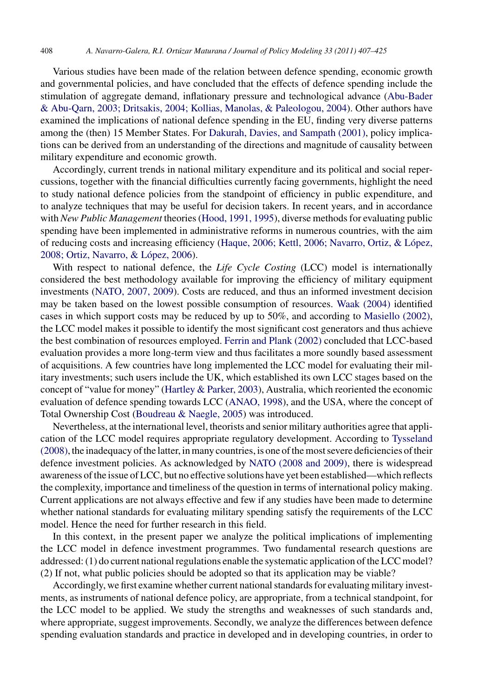Various studies have been made of the relation between defence spending, economic growth and governmental policies, and have concluded that the effects of defence spending include the stimulation of aggregate demand, inflationary pressure and technological advance [\(Abu-Bader](#page--1-0) [& Abu-Qarn, 2003; Dritsakis, 2004; Kollias, Manolas, & Paleologou, 2004\).](#page--1-0) Other authors have examined the implications of national defence spending in the EU, finding very diverse patterns among the (then) 15 Member States. For [Dakurah, Davies, and Sampath \(2001\), p](#page--1-0)olicy implications can be derived from an understanding of the directions and magnitude of causality between military expenditure and economic growth.

Accordingly, current trends in national military expenditure and its political and social repercussions, together with the financial difficulties currently facing governments, highlight the need to study national defence policies from the standpoint of efficiency in public expenditure, and to analyze techniques that may be useful for decision takers. In recent years, and in accordance with *New Public Management* theories ([Hood, 1991, 1995\),](#page--1-0) diverse methods for evaluating public spending have been implemented in administrative reforms in numerous countries, with the aim of reducing costs and increasing efficiency [\(Haque, 2006; Kettl, 2006; Navarro, Ortiz, & López,](#page--1-0) [2008; Ortiz, Navarro, & López, 2006\).](#page--1-0)

With respect to national defence, the *Life Cycle Costing* (LCC) model is internationally considered the best methodology available for improving the efficiency of military equipment investments ([NATO, 2007, 2009\).](#page--1-0) Costs are reduced, and thus an informed investment decision may be taken based on the lowest possible consumption of resources. [Waak \(2004\)](#page--1-0) identified cases in which support costs may be reduced by up to 50%, and according to [Masiello \(2002\),](#page--1-0) the LCC model makes it possible to identify the most significant cost generators and thus achieve the best combination of resources employed. [Ferrin and Plank \(2002\)](#page--1-0) concluded that LCC-based evaluation provides a more long-term view and thus facilitates a more soundly based assessment of acquisitions. A few countries have long implemented the LCC model for evaluating their military investments; such users include the UK, which established its own LCC stages based on the concept of "value for money" ([Hartley & Parker, 2003\),](#page--1-0) Australia, which reoriented the economic evaluation of defence spending towards LCC [\(ANAO, 1998\),](#page--1-0) and the USA, where the concept of Total Ownership Cost ([Boudreau & Naegle, 2005\)](#page--1-0) was introduced.

Nevertheless, at the international level, theorists and senior military authorities agree that application of the LCC model requires appropriate regulatory development. According to [Tysseland](#page--1-0) [\(2008\), t](#page--1-0)he inadequacy of the latter, in many countries, is one of the most severe deficiencies of their defence investment policies. As acknowledged by [NATO \(2008 and 2009\),](#page--1-0) there is widespread awareness of the issue of LCC, but no effective solutions have yet been established—which reflects the complexity, importance and timeliness of the question in terms of international policy making. Current applications are not always effective and few if any studies have been made to determine whether national standards for evaluating military spending satisfy the requirements of the LCC model. Hence the need for further research in this field.

In this context, in the present paper we analyze the political implications of implementing the LCC model in defence investment programmes. Two fundamental research questions are addressed: (1) do current national regulations enable the systematic application of the LCC model? (2) If not, what public policies should be adopted so that its application may be viable?

Accordingly, we first examine whether current national standards for evaluating military investments, as instruments of national defence policy, are appropriate, from a technical standpoint, for the LCC model to be applied. We study the strengths and weaknesses of such standards and, where appropriate, suggest improvements. Secondly, we analyze the differences between defence spending evaluation standards and practice in developed and in developing countries, in order to